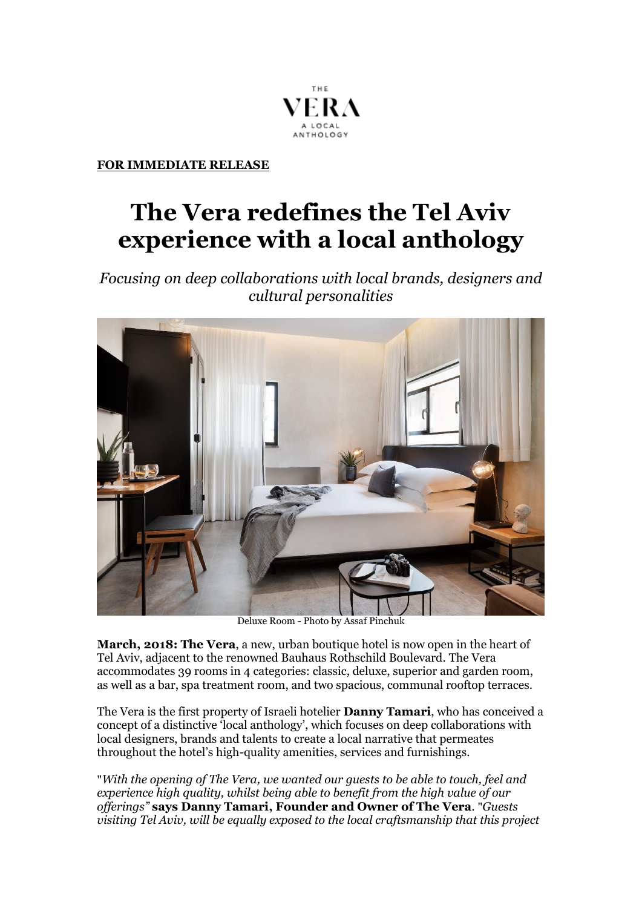

**FOR IMMEDIATE RELEASE**

## **The Vera redefines the Tel Aviv experience with a local anthology**

*Focusing on deep collaborations with local brands, designers and cultural personalities*



Deluxe Room - Photo by Assaf Pinchuk

**March, 2018: The Vera**, a new, urban boutique hotel is now open in the heart of Tel Aviv, adjacent to the renowned Bauhaus Rothschild Boulevard. The Vera accommodates 39 rooms in 4 categories: classic, deluxe, superior and garden room, as well as a bar, spa treatment room, and two spacious, communal rooftop terraces.

The Vera is the first property of Israeli hotelier **Danny Tamari**, who has conceived a concept of a distinctive 'local anthology', which focuses on deep collaborations with local designers, brands and talents to create a local narrative that permeates throughout the hotel's high-quality amenities, services and furnishings.

"*With the opening of The Vera, we wanted our guests to be able to touch, feel and experience high quality, whilst being able to benefit from the high value of our offerings"* **says Danny Tamari, Founder and Owner of The Vera***.* "*Guests visiting Tel Aviv, will be equally exposed to the local craftsmanship that this project*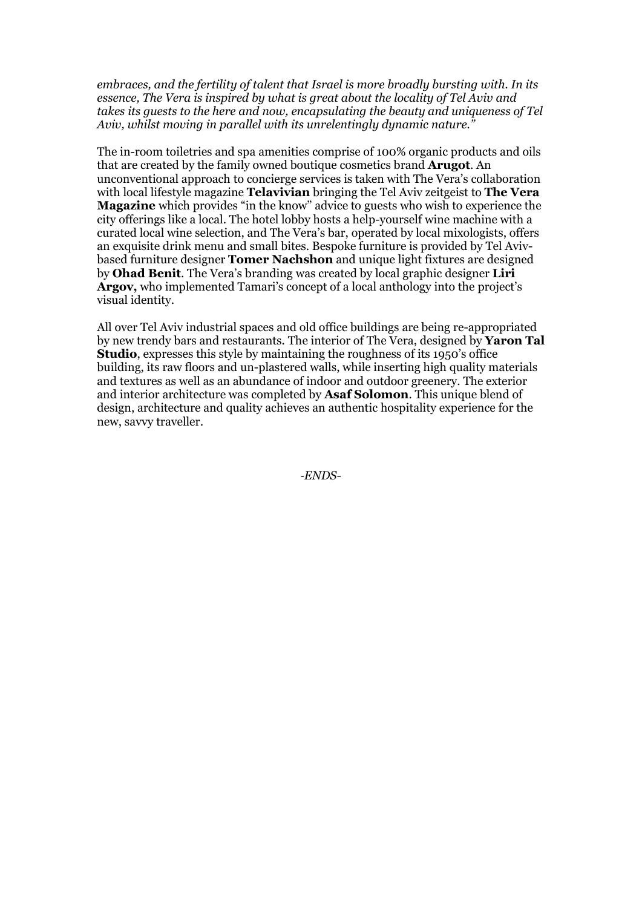*embraces, and the fertility of talent that Israel is more broadly bursting with. In its essence, The Vera is inspired by what is great about the locality of Tel Aviv and takes its guests to the here and now, encapsulating the beauty and uniqueness of Tel Aviv, whilst moving in parallel with its unrelentingly dynamic nature."* 

The in-room toiletries and spa amenities comprise of 100% organic products and oils that are created by the family owned boutique cosmetics brand **Arugot**. An unconventional approach to concierge services is taken with The Vera's collaboration with local lifestyle magazine **Telavivian** bringing the Tel Aviv zeitgeist to **The Vera Magazine** which provides "in the know" advice to guests who wish to experience the city offerings like a local. The hotel lobby hosts a help-yourself wine machine with a curated local wine selection, and The Vera's bar, operated by local mixologists, offers an exquisite drink menu and small bites. Bespoke furniture is provided by Tel Avivbased furniture designer **Tomer Nachshon** and unique light fixtures are designed by **Ohad Benit**. The Vera's branding was created by local graphic designer **Liri Argov,** who implemented Tamari's concept of a local anthology into the project's visual identity.

All over Tel Aviv industrial spaces and old office buildings are being re-appropriated by new trendy bars and restaurants. The interior of The Vera, designed by **Yaron Tal Studio**, expresses this style by maintaining the roughness of its 1950's office building, its raw floors and un-plastered walls, while inserting high quality materials and textures as well as an abundance of indoor and outdoor greenery. The exterior and interior architecture was completed by **Asaf Solomon**. This unique blend of design, architecture and quality achieves an authentic hospitality experience for the new, savvy traveller.

*-ENDS-*